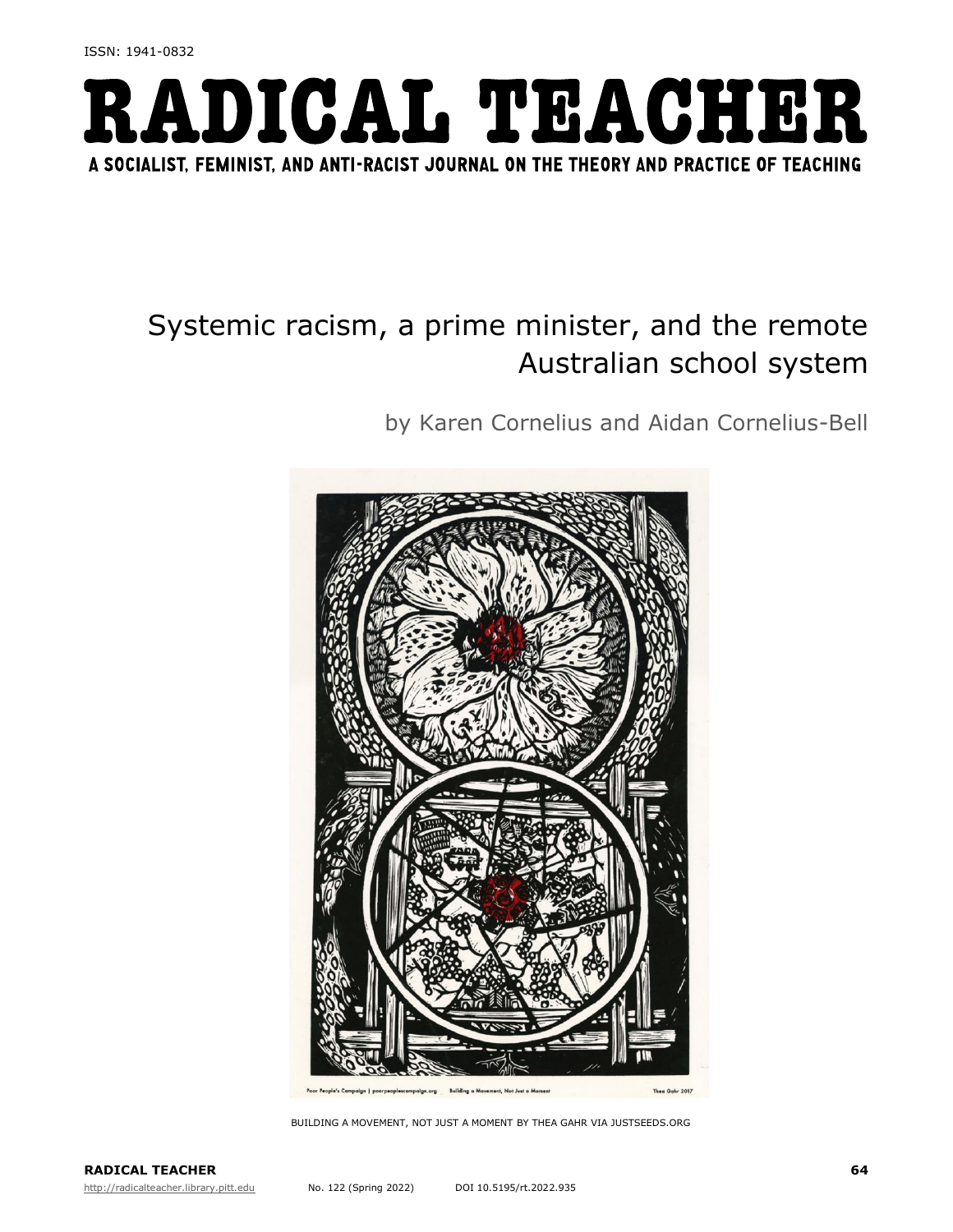

# Systemic racism, a prime minister, and the remote Australian school system

by Karen Cornelius and Aidan Cornelius-Bell



BUILDING A MOVEMENT, NOT JUST A MOMENT BY THEA GAHR VIA JUSTSEEDS.ORG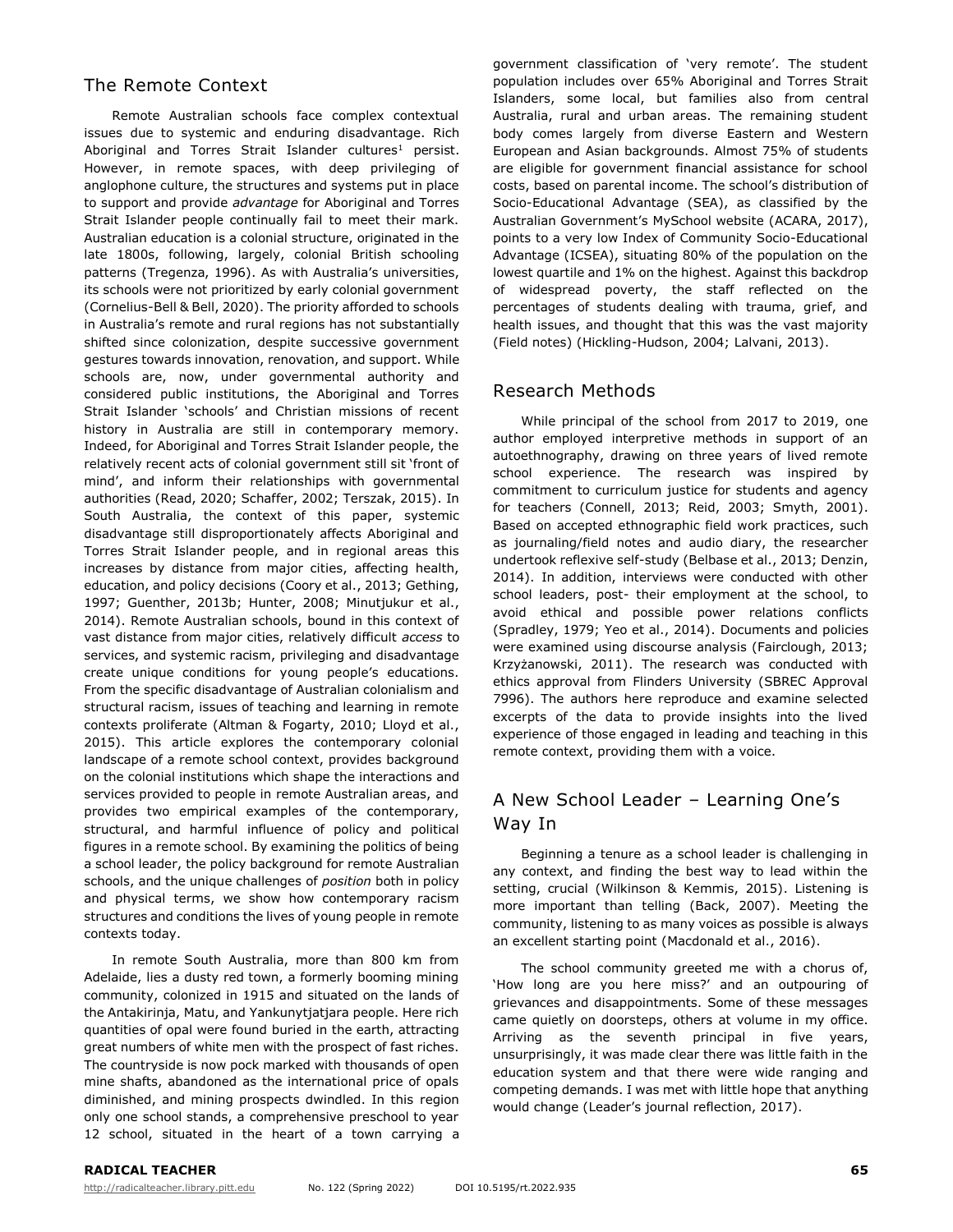# The Remote Context

Remote Australian schools face complex contextual issues due to systemic and enduring disadvantage. Rich Aboriginal and Torres Strait Islander cultures<sup>1</sup> persist. However, in remote spaces, with deep privileging of anglophone culture, the structures and systems put in place to support and provide *advantage* for Aboriginal and Torres Strait Islander people continually fail to meet their mark. Australian education is a colonial structure, originated in the late 1800s, following, largely, colonial British schooling patterns (Tregenza, 1996). As with Australia's universities, its schools were not prioritized by early colonial government (Cornelius-Bell & Bell, 2020). The priority afforded to schools in Australia's remote and rural regions has not substantially shifted since colonization, despite successive government gestures towards innovation, renovation, and support. While schools are, now, under governmental authority and considered public institutions, the Aboriginal and Torres Strait Islander 'schools' and Christian missions of recent history in Australia are still in contemporary memory. Indeed, for Aboriginal and Torres Strait Islander people, the relatively recent acts of colonial government still sit 'front of mind', and inform their relationships with governmental authorities (Read, 2020; Schaffer, 2002; Terszak, 2015). In South Australia, the context of this paper, systemic disadvantage still disproportionately affects Aboriginal and Torres Strait Islander people, and in regional areas this increases by distance from major cities, affecting health, education, and policy decisions (Coory et al., 2013; Gething, 1997; Guenther, 2013b; Hunter, 2008; Minutjukur et al., 2014). Remote Australian schools, bound in this context of vast distance from major cities, relatively difficult *access* to services, and systemic racism, privileging and disadvantage create unique conditions for young people's educations. From the specific disadvantage of Australian colonialism and structural racism, issues of teaching and learning in remote contexts proliferate (Altman & Fogarty, 2010; Lloyd et al., 2015). This article explores the contemporary colonial landscape of a remote school context, provides background on the colonial institutions which shape the interactions and services provided to people in remote Australian areas, and provides two empirical examples of the contemporary, structural, and harmful influence of policy and political figures in a remote school. By examining the politics of being a school leader, the policy background for remote Australian schools, and the unique challenges of *position* both in policy and physical terms, we show how contemporary racism structures and conditions the lives of young people in remote contexts today.

In remote South Australia, more than 800 km from Adelaide, lies a dusty red town, a formerly booming mining community, colonized in 1915 and situated on the lands of the Antakirinja, Matu, and Yankunytjatjara people. Here rich quantities of opal were found buried in the earth, attracting great numbers of white men with the prospect of fast riches. The countryside is now pock marked with thousands of open mine shafts, abandoned as the international price of opals diminished, and mining prospects dwindled. In this region only one school stands, a comprehensive preschool to year 12 school, situated in the heart of a town carrying a

government classification of 'very remote'. The student population includes over 65% Aboriginal and Torres Strait Islanders, some local, but families also from central Australia, rural and urban areas. The remaining student body comes largely from diverse Eastern and Western European and Asian backgrounds. Almost 75% of students are eligible for government financial assistance for school costs, based on parental income. The school's distribution of Socio-Educational Advantage (SEA), as classified by the Australian Government's MySchool website (ACARA, 2017), points to a very low Index of Community Socio-Educational Advantage (ICSEA), situating 80% of the population on the lowest quartile and 1% on the highest. Against this backdrop of widespread poverty, the staff reflected on the percentages of students dealing with trauma, grief, and health issues, and thought that this was the vast majority (Field notes) (Hickling-Hudson, 2004; Lalvani, 2013).

#### Research Methods

While principal of the school from 2017 to 2019, one author employed interpretive methods in support of an autoethnography, drawing on three years of lived remote school experience. The research was inspired by commitment to curriculum justice for students and agency for teachers (Connell, 2013; Reid, 2003; Smyth, 2001). Based on accepted ethnographic field work practices, such as journaling/field notes and audio diary, the researcher undertook reflexive self-study (Belbase et al., 2013; Denzin, 2014). In addition, interviews were conducted with other school leaders, post- their employment at the school, to avoid ethical and possible power relations conflicts (Spradley, 1979; Yeo et al., 2014). Documents and policies were examined using discourse analysis (Fairclough, 2013; Krzyżanowski, 2011). The research was conducted with ethics approval from Flinders University (SBREC Approval 7996). The authors here reproduce and examine selected excerpts of the data to provide insights into the lived experience of those engaged in leading and teaching in this remote context, providing them with a voice.

# A New School Leader – Learning One's Way In

Beginning a tenure as a school leader is challenging in any context, and finding the best way to lead within the setting, crucial (Wilkinson & Kemmis, 2015). Listening is more important than telling (Back, 2007). Meeting the community, listening to as many voices as possible is always an excellent starting point (Macdonald et al., 2016).

The school community greeted me with a chorus of, 'How long are you here miss?' and an outpouring of grievances and disappointments. Some of these messages came quietly on doorsteps, others at volume in my office. Arriving as the seventh principal in five years, unsurprisingly, it was made clear there was little faith in the education system and that there were wide ranging and competing demands. I was met with little hope that anything would change (Leader's journal reflection, 2017).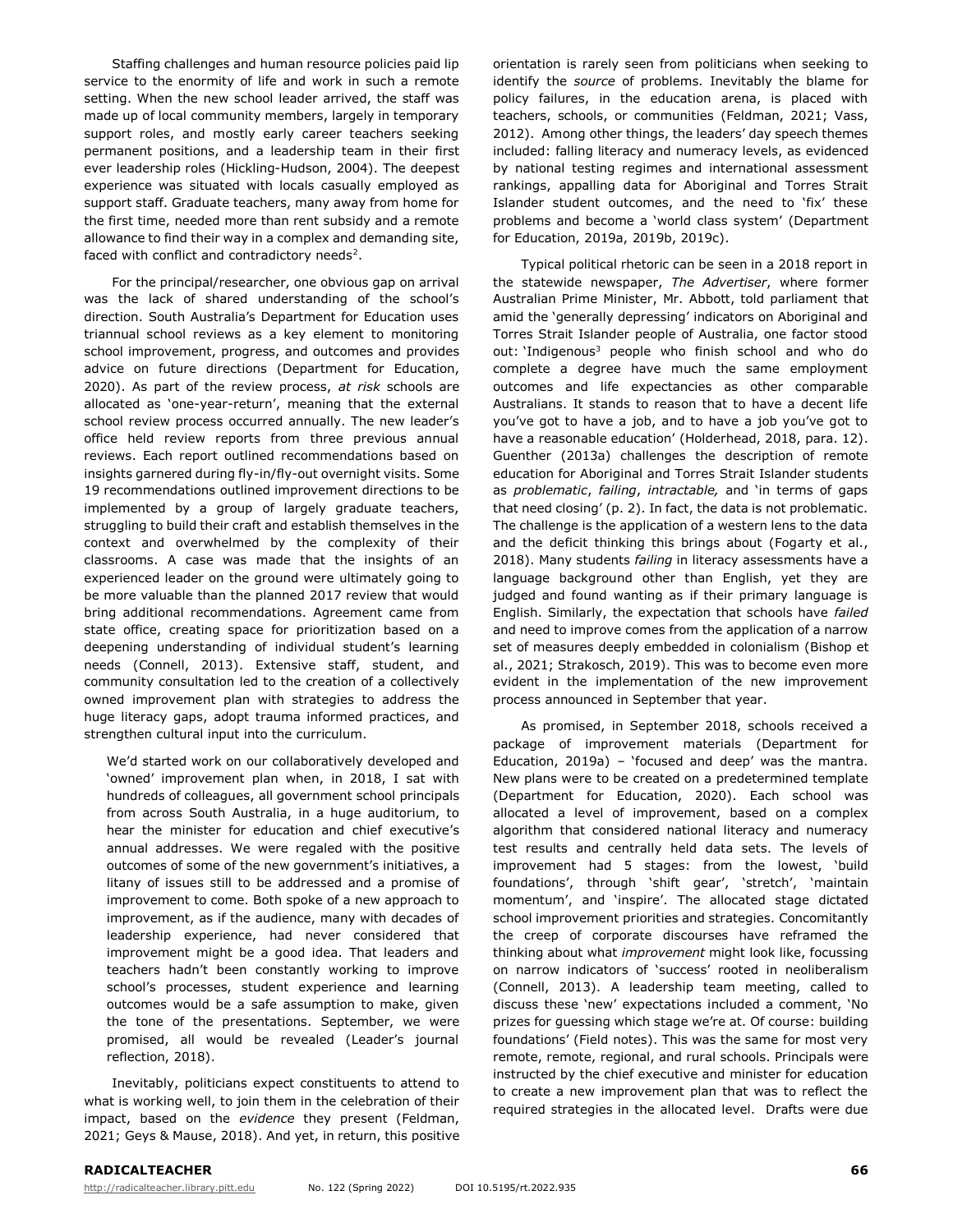Staffing challenges and human resource policies paid lip service to the enormity of life and work in such a remote setting. When the new school leader arrived, the staff was made up of local community members, largely in temporary support roles, and mostly early career teachers seeking permanent positions, and a leadership team in their first ever leadership roles (Hickling-Hudson, 2004). The deepest experience was situated with locals casually employed as support staff. Graduate teachers, many away from home for the first time, needed more than rent subsidy and a remote allowance to find their way in a complex and demanding site, faced with conflict and contradictory needs<sup>2</sup>.

For the principal/researcher, one obvious gap on arrival was the lack of shared understanding of the school's direction. South Australia's Department for Education uses triannual school reviews as a key element to monitoring school improvement, progress, and outcomes and provides advice on future directions (Department for Education, 2020). As part of the review process, *at risk* schools are allocated as 'one-year-return', meaning that the external school review process occurred annually. The new leader's office held review reports from three previous annual reviews. Each report outlined recommendations based on insights garnered during fly-in/fly-out overnight visits. Some 19 recommendations outlined improvement directions to be implemented by a group of largely graduate teachers, struggling to build their craft and establish themselves in the context and overwhelmed by the complexity of their classrooms. A case was made that the insights of an experienced leader on the ground were ultimately going to be more valuable than the planned 2017 review that would bring additional recommendations. Agreement came from state office, creating space for prioritization based on a deepening understanding of individual student's learning needs (Connell, 2013). Extensive staff, student, and community consultation led to the creation of a collectively owned improvement plan with strategies to address the huge literacy gaps, adopt trauma informed practices, and strengthen cultural input into the curriculum.

We'd started work on our collaboratively developed and 'owned' improvement plan when, in 2018, I sat with hundreds of colleagues, all government school principals from across South Australia, in a huge auditorium, to hear the minister for education and chief executive's annual addresses. We were regaled with the positive outcomes of some of the new government's initiatives, a litany of issues still to be addressed and a promise of improvement to come. Both spoke of a new approach to improvement, as if the audience, many with decades of leadership experience, had never considered that improvement might be a good idea. That leaders and teachers hadn't been constantly working to improve school's processes, student experience and learning outcomes would be a safe assumption to make, given the tone of the presentations. September, we were promised, all would be revealed (Leader's journal reflection, 2018).

Inevitably, politicians expect constituents to attend to what is working well, to join them in the celebration of their impact, based on the *evidence* they present (Feldman, 2021; Geys & Mause, 2018). And yet, in return, this positive

orientation is rarely seen from politicians when seeking to identify the *source* of problems. Inevitably the blame for policy failures, in the education arena, is placed with teachers, schools, or communities (Feldman, 2021; Vass, 2012). Among other things, the leaders' day speech themes included: falling literacy and numeracy levels, as evidenced by national testing regimes and international assessment rankings, appalling data for Aboriginal and Torres Strait Islander student outcomes, and the need to 'fix' these problems and become a 'world class system' (Department for Education, 2019a, 2019b, 2019c).

Typical political rhetoric can be seen in a 2018 report in the statewide newspaper, *The Advertiser*, where former Australian Prime Minister, Mr. Abbott, told parliament that amid the 'generally depressing' indicators on Aboriginal and Torres Strait Islander people of Australia, one factor stood out: 'Indigenous<sup>3</sup> people who finish school and who do complete a degree have much the same employment outcomes and life expectancies as other comparable Australians. It stands to reason that to have a decent life you've got to have a job, and to have a job you've got to have a reasonable education' (Holderhead, 2018, para. 12). Guenther (2013a) challenges the description of remote education for Aboriginal and Torres Strait Islander students as *problematic*, *failing*, *intractable,* and 'in terms of gaps that need closing' (p. 2). In fact, the data is not problematic. The challenge is the application of a western lens to the data and the deficit thinking this brings about (Fogarty et al., 2018). Many students *failing* in literacy assessments have a language background other than English, yet they are judged and found wanting as if their primary language is English. Similarly, the expectation that schools have *failed* and need to improve comes from the application of a narrow set of measures deeply embedded in colonialism (Bishop et al., 2021; Strakosch, 2019). This was to become even more evident in the implementation of the new improvement process announced in September that year.

As promised, in September 2018, schools received a package of improvement materials (Department for Education, 2019a) – 'focused and deep' was the mantra. New plans were to be created on a predetermined template (Department for Education, 2020). Each school was allocated a level of improvement, based on a complex algorithm that considered national literacy and numeracy test results and centrally held data sets. The levels of improvement had 5 stages: from the lowest, 'build foundations', through 'shift gear', 'stretch', 'maintain momentum', and 'inspire'. The allocated stage dictated school improvement priorities and strategies. Concomitantly the creep of corporate discourses have reframed the thinking about what *improvement* might look like, focussing on narrow indicators of 'success' rooted in neoliberalism (Connell, 2013). A leadership team meeting, called to discuss these 'new' expectations included a comment, 'No prizes for guessing which stage we're at. Of course: building foundations' (Field notes). This was the same for most very remote, remote, regional, and rural schools. Principals were instructed by the chief executive and minister for education to create a new improvement plan that was to reflect the required strategies in the allocated level. Drafts were due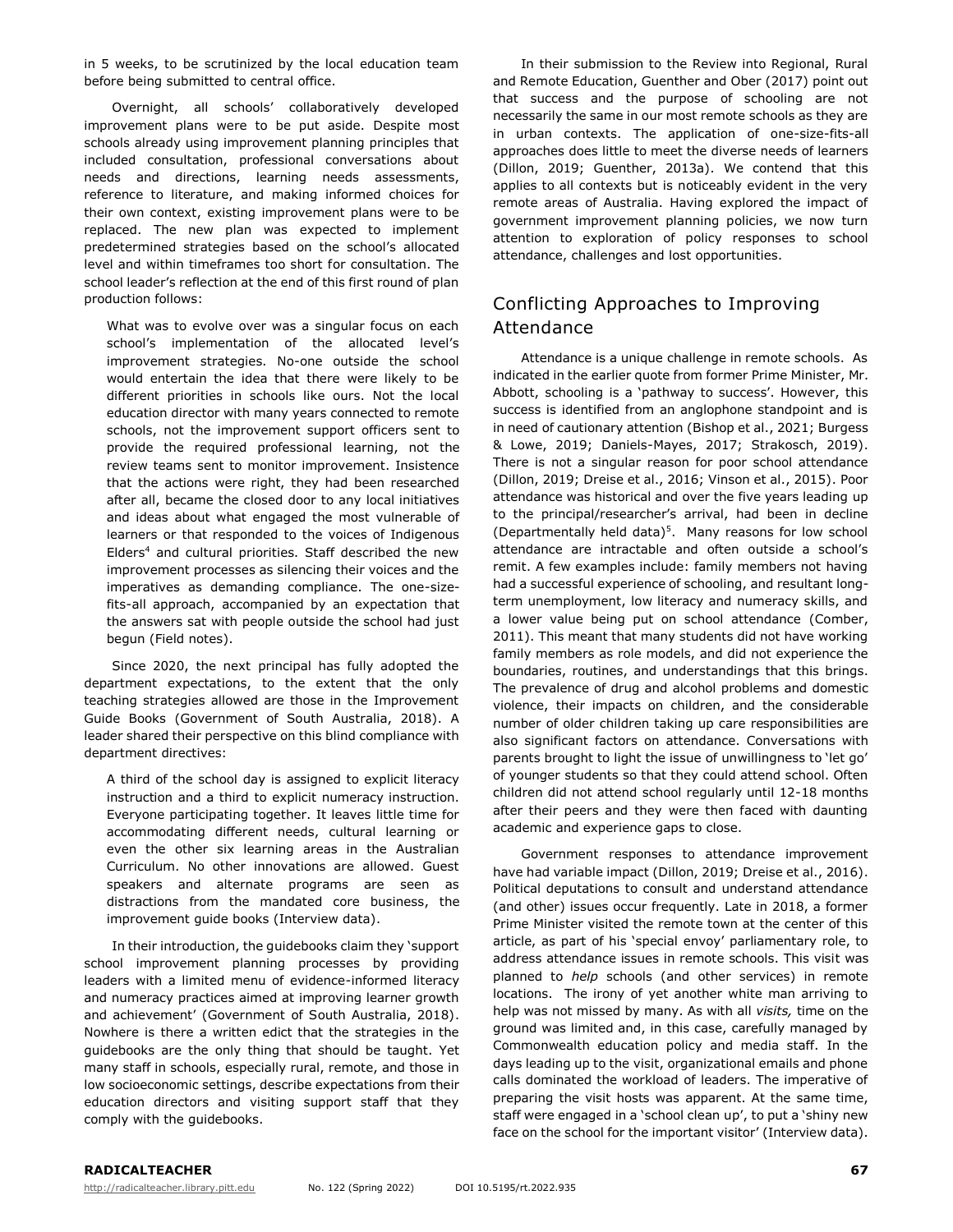in 5 weeks, to be scrutinized by the local education team before being submitted to central office.

Overnight, all schools' collaboratively developed improvement plans were to be put aside. Despite most schools already using improvement planning principles that included consultation, professional conversations about needs and directions, learning needs assessments, reference to literature, and making informed choices for their own context, existing improvement plans were to be replaced. The new plan was expected to implement predetermined strategies based on the school's allocated level and within timeframes too short for consultation. The school leader's reflection at the end of this first round of plan production follows:

What was to evolve over was a singular focus on each school's implementation of the allocated level's improvement strategies. No-one outside the school would entertain the idea that there were likely to be different priorities in schools like ours. Not the local education director with many years connected to remote schools, not the improvement support officers sent to provide the required professional learning, not the review teams sent to monitor improvement. Insistence that the actions were right, they had been researched after all, became the closed door to any local initiatives and ideas about what engaged the most vulnerable of learners or that responded to the voices of Indigenous Elders<sup>4</sup> and cultural priorities. Staff described the new improvement processes as silencing their voices and the imperatives as demanding compliance. The one-sizefits-all approach, accompanied by an expectation that the answers sat with people outside the school had just begun (Field notes).

Since 2020, the next principal has fully adopted the department expectations, to the extent that the only teaching strategies allowed are those in the Improvement Guide Books (Government of South Australia, 2018). A leader shared their perspective on this blind compliance with department directives:

A third of the school day is assigned to explicit literacy instruction and a third to explicit numeracy instruction. Everyone participating together. It leaves little time for accommodating different needs, cultural learning or even the other six learning areas in the Australian Curriculum. No other innovations are allowed. Guest speakers and alternate programs are seen as distractions from the mandated core business, the improvement guide books (Interview data).

In their introduction, the guidebooks claim they 'support school improvement planning processes by providing leaders with a limited menu of evidence-informed literacy and numeracy practices aimed at improving learner growth and achievement' (Government of South Australia, 2018). Nowhere is there a written edict that the strategies in the guidebooks are the only thing that should be taught. Yet many staff in schools, especially rural, remote, and those in low socioeconomic settings, describe expectations from their education directors and visiting support staff that they comply with the guidebooks.

In their submission to the Review into Regional, Rural and Remote Education, Guenther and Ober (2017) point out that success and the purpose of schooling are not necessarily the same in our most remote schools as they are in urban contexts. The application of one-size-fits-all approaches does little to meet the diverse needs of learners (Dillon, 2019; Guenther, 2013a). We contend that this applies to all contexts but is noticeably evident in the very remote areas of Australia. Having explored the impact of government improvement planning policies, we now turn attention to exploration of policy responses to school attendance, challenges and lost opportunities.

# Conflicting Approaches to Improving Attendance

Attendance is a unique challenge in remote schools. As indicated in the earlier quote from former Prime Minister, Mr. Abbott, schooling is a 'pathway to success'. However, this success is identified from an anglophone standpoint and is in need of cautionary attention (Bishop et al., 2021; Burgess & Lowe, 2019; Daniels-Mayes, 2017; Strakosch, 2019). There is not a singular reason for poor school attendance (Dillon, 2019; Dreise et al., 2016; Vinson et al., 2015). Poor attendance was historical and over the five years leading up to the principal/researcher's arrival, had been in decline (Departmentally held data)<sup>5</sup>. Many reasons for low school attendance are intractable and often outside a school's remit. A few examples include: family members not having had a successful experience of schooling, and resultant longterm unemployment, low literacy and numeracy skills, and a lower value being put on school attendance (Comber, 2011). This meant that many students did not have working family members as role models, and did not experience the boundaries, routines, and understandings that this brings. The prevalence of drug and alcohol problems and domestic violence, their impacts on children, and the considerable number of older children taking up care responsibilities are also significant factors on attendance. Conversations with parents brought to light the issue of unwillingness to 'let go' of younger students so that they could attend school. Often children did not attend school regularly until 12-18 months after their peers and they were then faced with daunting academic and experience gaps to close.

Government responses to attendance improvement have had variable impact (Dillon, 2019; Dreise et al., 2016). Political deputations to consult and understand attendance (and other) issues occur frequently. Late in 2018, a former Prime Minister visited the remote town at the center of this article, as part of his 'special envoy' parliamentary role, to address attendance issues in remote schools. This visit was planned to *help* schools (and other services) in remote locations. The irony of yet another white man arriving to help was not missed by many. As with all *visits,* time on the ground was limited and, in this case, carefully managed by Commonwealth education policy and media staff. In the days leading up to the visit, organizational emails and phone calls dominated the workload of leaders. The imperative of preparing the visit hosts was apparent. At the same time, staff were engaged in a 'school clean up', to put a 'shiny new face on the school for the important visitor' (Interview data).

#### **RADICALTEACHER 67**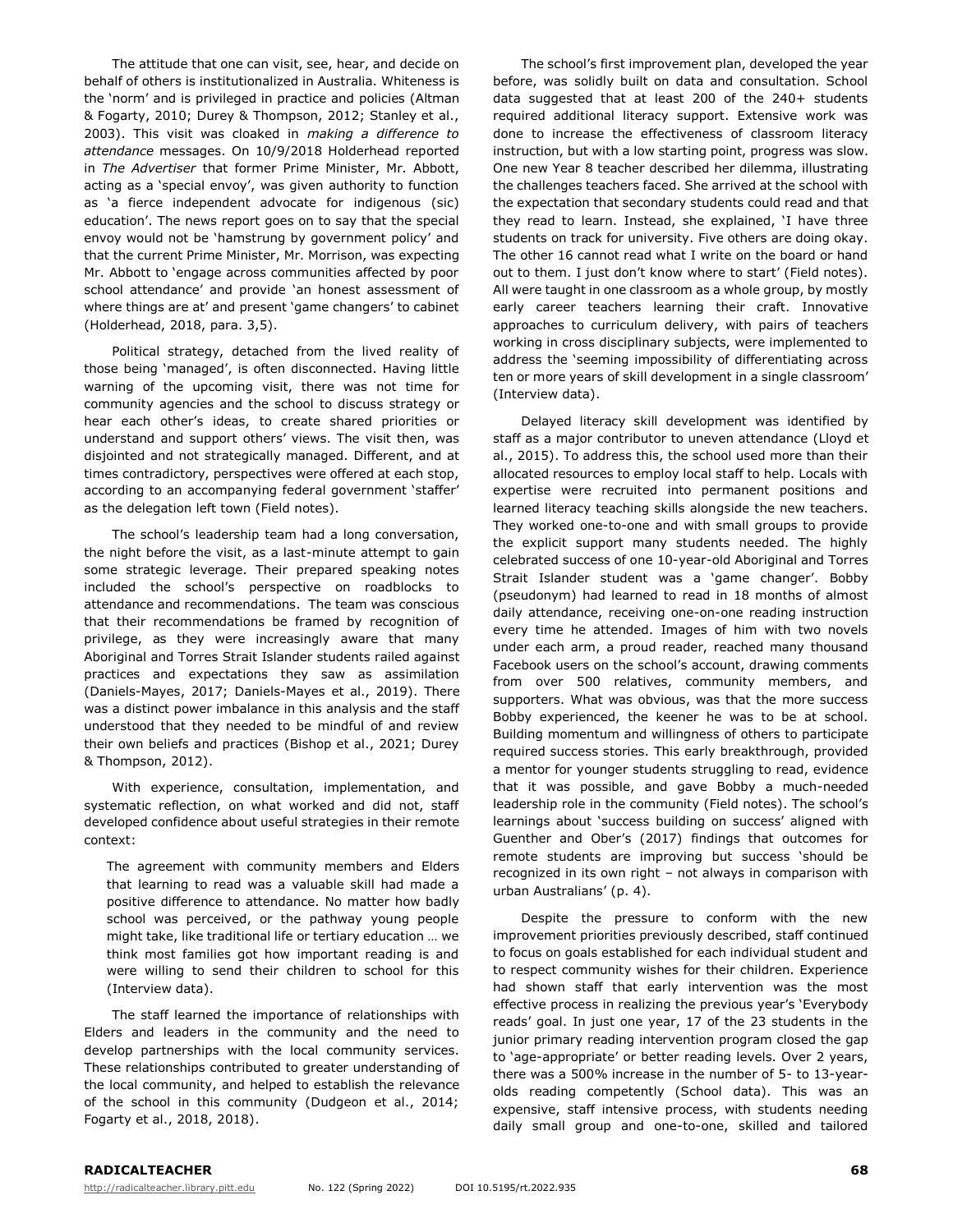The attitude that one can visit, see, hear, and decide on behalf of others is institutionalized in Australia. Whiteness is the 'norm' and is privileged in practice and policies (Altman & Fogarty, 2010; Durey & Thompson, 2012; Stanley et al., 2003). This visit was cloaked in *making a difference to attendance* messages. On 10/9/2018 Holderhead reported in *The Advertiser* that former Prime Minister, Mr. Abbott, acting as a 'special envoy', was given authority to function as 'a fierce independent advocate for indigenous (sic) education'. The news report goes on to say that the special envoy would not be 'hamstrung by government policy' and that the current Prime Minister, Mr. Morrison, was expecting Mr. Abbott to 'engage across communities affected by poor school attendance' and provide 'an honest assessment of where things are at' and present 'game changers' to cabinet (Holderhead, 2018, para. 3,5).

Political strategy, detached from the lived reality of those being 'managed', is often disconnected. Having little warning of the upcoming visit, there was not time for community agencies and the school to discuss strategy or hear each other's ideas, to create shared priorities or understand and support others' views. The visit then, was disjointed and not strategically managed. Different, and at times contradictory, perspectives were offered at each stop, according to an accompanying federal government 'staffer' as the delegation left town (Field notes).

The school's leadership team had a long conversation, the night before the visit, as a last-minute attempt to gain some strategic leverage. Their prepared speaking notes included the school's perspective on roadblocks to attendance and recommendations. The team was conscious that their recommendations be framed by recognition of privilege, as they were increasingly aware that many Aboriginal and Torres Strait Islander students railed against practices and expectations they saw as assimilation (Daniels-Mayes, 2017; Daniels-Mayes et al., 2019). There was a distinct power imbalance in this analysis and the staff understood that they needed to be mindful of and review their own beliefs and practices (Bishop et al., 2021; Durey & Thompson, 2012).

With experience, consultation, implementation, and systematic reflection, on what worked and did not, staff developed confidence about useful strategies in their remote context:

The agreement with community members and Elders that learning to read was a valuable skill had made a positive difference to attendance. No matter how badly school was perceived, or the pathway young people might take, like traditional life or tertiary education … we think most families got how important reading is and were willing to send their children to school for this (Interview data).

The staff learned the importance of relationships with Elders and leaders in the community and the need to develop partnerships with the local community services. These relationships contributed to greater understanding of the local community, and helped to establish the relevance of the school in this community (Dudgeon et al., 2014; Fogarty et al., 2018, 2018).

The school's first improvement plan, developed the year before, was solidly built on data and consultation. School data suggested that at least 200 of the 240+ students required additional literacy support. Extensive work was done to increase the effectiveness of classroom literacy instruction, but with a low starting point, progress was slow. One new Year 8 teacher described her dilemma, illustrating the challenges teachers faced. She arrived at the school with the expectation that secondary students could read and that they read to learn. Instead, she explained, 'I have three students on track for university. Five others are doing okay. The other 16 cannot read what I write on the board or hand out to them. I just don't know where to start' (Field notes). All were taught in one classroom as a whole group, by mostly early career teachers learning their craft. Innovative approaches to curriculum delivery, with pairs of teachers working in cross disciplinary subjects, were implemented to address the 'seeming impossibility of differentiating across ten or more years of skill development in a single classroom' (Interview data).

Delayed literacy skill development was identified by staff as a major contributor to uneven attendance (Lloyd et al., 2015). To address this, the school used more than their allocated resources to employ local staff to help. Locals with expertise were recruited into permanent positions and learned literacy teaching skills alongside the new teachers. They worked one-to-one and with small groups to provide the explicit support many students needed. The highly celebrated success of one 10-year-old Aboriginal and Torres Strait Islander student was a 'game changer'. Bobby (pseudonym) had learned to read in 18 months of almost daily attendance, receiving one-on-one reading instruction every time he attended. Images of him with two novels under each arm, a proud reader, reached many thousand Facebook users on the school's account, drawing comments from over 500 relatives, community members, and supporters. What was obvious, was that the more success Bobby experienced, the keener he was to be at school. Building momentum and willingness of others to participate required success stories. This early breakthrough, provided a mentor for younger students struggling to read, evidence that it was possible, and gave Bobby a much-needed leadership role in the community (Field notes). The school's learnings about 'success building on success' aligned with Guenther and Ober's (2017) findings that outcomes for remote students are improving but success 'should be recognized in its own right – not always in comparison with urban Australians' (p. 4).

Despite the pressure to conform with the new improvement priorities previously described, staff continued to focus on goals established for each individual student and to respect community wishes for their children. Experience had shown staff that early intervention was the most effective process in realizing the previous year's 'Everybody reads' goal. In just one year, 17 of the 23 students in the junior primary reading intervention program closed the gap to 'age-appropriate' or better reading levels. Over 2 years, there was a 500% increase in the number of 5- to 13-yearolds reading competently (School data). This was an expensive, staff intensive process, with students needing daily small group and one-to-one, skilled and tailored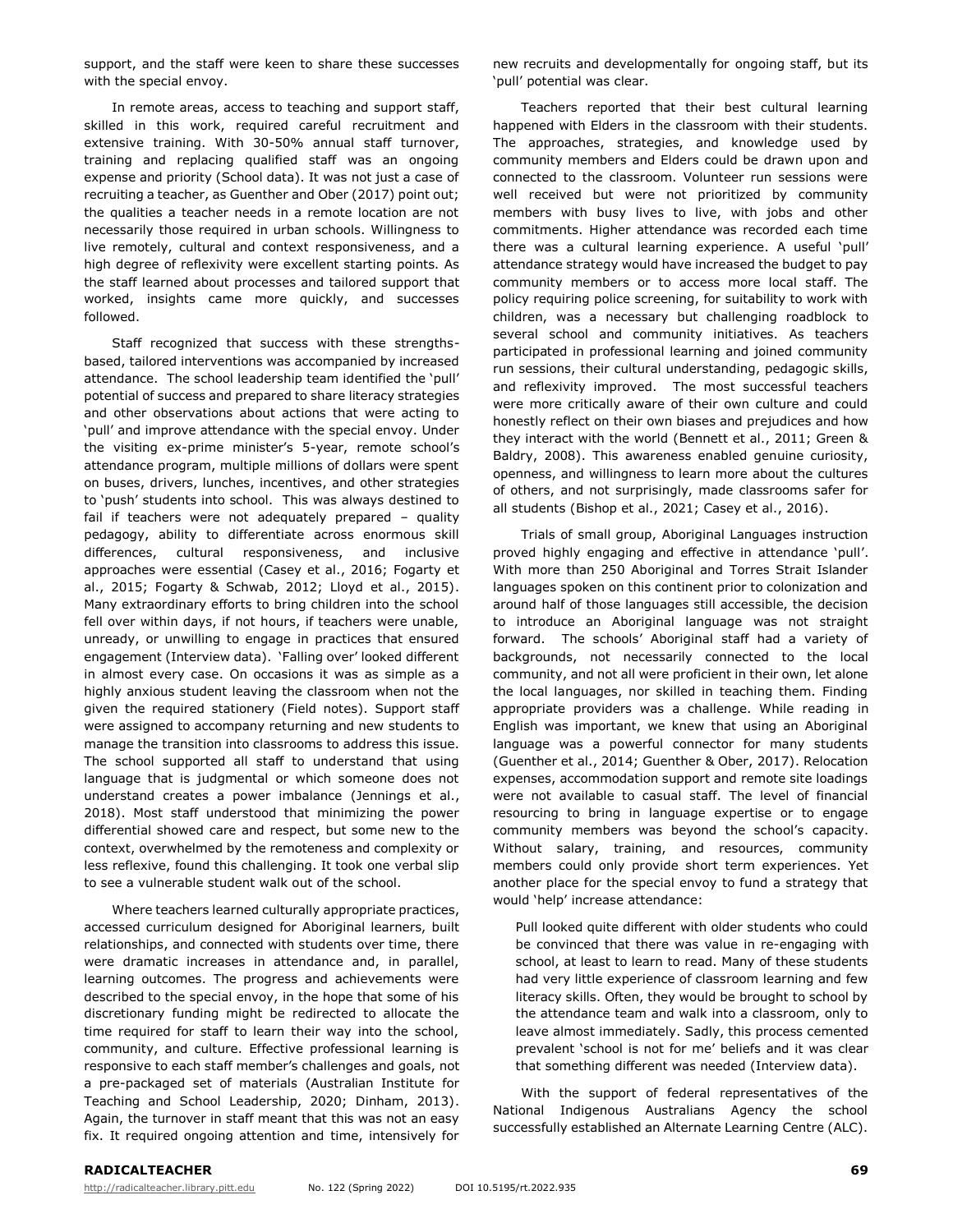support, and the staff were keen to share these successes with the special envoy.

In remote areas, access to teaching and support staff, skilled in this work, required careful recruitment and extensive training. With 30-50% annual staff turnover, training and replacing qualified staff was an ongoing expense and priority (School data). It was not just a case of recruiting a teacher, as Guenther and Ober (2017) point out; the qualities a teacher needs in a remote location are not necessarily those required in urban schools. Willingness to live remotely, cultural and context responsiveness, and a high degree of reflexivity were excellent starting points. As the staff learned about processes and tailored support that worked, insights came more quickly, and successes followed.

Staff recognized that success with these strengthsbased, tailored interventions was accompanied by increased attendance. The school leadership team identified the 'pull' potential of success and prepared to share literacy strategies and other observations about actions that were acting to 'pull' and improve attendance with the special envoy. Under the visiting ex-prime minister's 5-year, remote school's attendance program, multiple millions of dollars were spent on buses, drivers, lunches, incentives, and other strategies to 'push' students into school. This was always destined to fail if teachers were not adequately prepared – quality pedagogy, ability to differentiate across enormous skill differences, cultural responsiveness, and inclusive approaches were essential (Casey et al., 2016; Fogarty et al., 2015; Fogarty & Schwab, 2012; Lloyd et al., 2015). Many extraordinary efforts to bring children into the school fell over within days, if not hours, if teachers were unable, unready, or unwilling to engage in practices that ensured engagement (Interview data). 'Falling over' looked different in almost every case. On occasions it was as simple as a highly anxious student leaving the classroom when not the given the required stationery (Field notes). Support staff were assigned to accompany returning and new students to manage the transition into classrooms to address this issue. The school supported all staff to understand that using language that is judgmental or which someone does not understand creates a power imbalance (Jennings et al., 2018). Most staff understood that minimizing the power differential showed care and respect, but some new to the context, overwhelmed by the remoteness and complexity or less reflexive, found this challenging. It took one verbal slip to see a vulnerable student walk out of the school.

Where teachers learned culturally appropriate practices, accessed curriculum designed for Aboriginal learners, built relationships, and connected with students over time, there were dramatic increases in attendance and, in parallel, learning outcomes. The progress and achievements were described to the special envoy, in the hope that some of his discretionary funding might be redirected to allocate the time required for staff to learn their way into the school, community, and culture. Effective professional learning is responsive to each staff member's challenges and goals, not a pre-packaged set of materials (Australian Institute for Teaching and School Leadership, 2020; Dinham, 2013). Again, the turnover in staff meant that this was not an easy fix. It required ongoing attention and time, intensively for

new recruits and developmentally for ongoing staff, but its 'pull' potential was clear.

Teachers reported that their best cultural learning happened with Elders in the classroom with their students. The approaches, strategies, and knowledge used by community members and Elders could be drawn upon and connected to the classroom. Volunteer run sessions were well received but were not prioritized by community members with busy lives to live, with jobs and other commitments. Higher attendance was recorded each time there was a cultural learning experience. A useful 'pull' attendance strategy would have increased the budget to pay community members or to access more local staff. The policy requiring police screening, for suitability to work with children, was a necessary but challenging roadblock to several school and community initiatives. As teachers participated in professional learning and joined community run sessions, their cultural understanding, pedagogic skills, and reflexivity improved. The most successful teachers were more critically aware of their own culture and could honestly reflect on their own biases and prejudices and how they interact with the world (Bennett et al., 2011; Green & Baldry, 2008). This awareness enabled genuine curiosity, openness, and willingness to learn more about the cultures of others, and not surprisingly, made classrooms safer for all students (Bishop et al., 2021; Casey et al., 2016).

Trials of small group, Aboriginal Languages instruction proved highly engaging and effective in attendance 'pull'. With more than 250 Aboriginal and Torres Strait Islander languages spoken on this continent prior to colonization and around half of those languages still accessible, the decision to introduce an Aboriginal language was not straight forward. The schools' Aboriginal staff had a variety of backgrounds, not necessarily connected to the local community, and not all were proficient in their own, let alone the local languages, nor skilled in teaching them. Finding appropriate providers was a challenge. While reading in English was important, we knew that using an Aboriginal language was a powerful connector for many students (Guenther et al., 2014; Guenther & Ober, 2017). Relocation expenses, accommodation support and remote site loadings were not available to casual staff. The level of financial resourcing to bring in language expertise or to engage community members was beyond the school's capacity. Without salary, training, and resources, community members could only provide short term experiences. Yet another place for the special envoy to fund a strategy that would 'help' increase attendance:

Pull looked quite different with older students who could be convinced that there was value in re-engaging with school, at least to learn to read. Many of these students had very little experience of classroom learning and few literacy skills. Often, they would be brought to school by the attendance team and walk into a classroom, only to leave almost immediately. Sadly, this process cemented prevalent 'school is not for me' beliefs and it was clear that something different was needed (Interview data).

With the support of federal representatives of the National Indigenous Australians Agency the school successfully established an Alternate Learning Centre (ALC).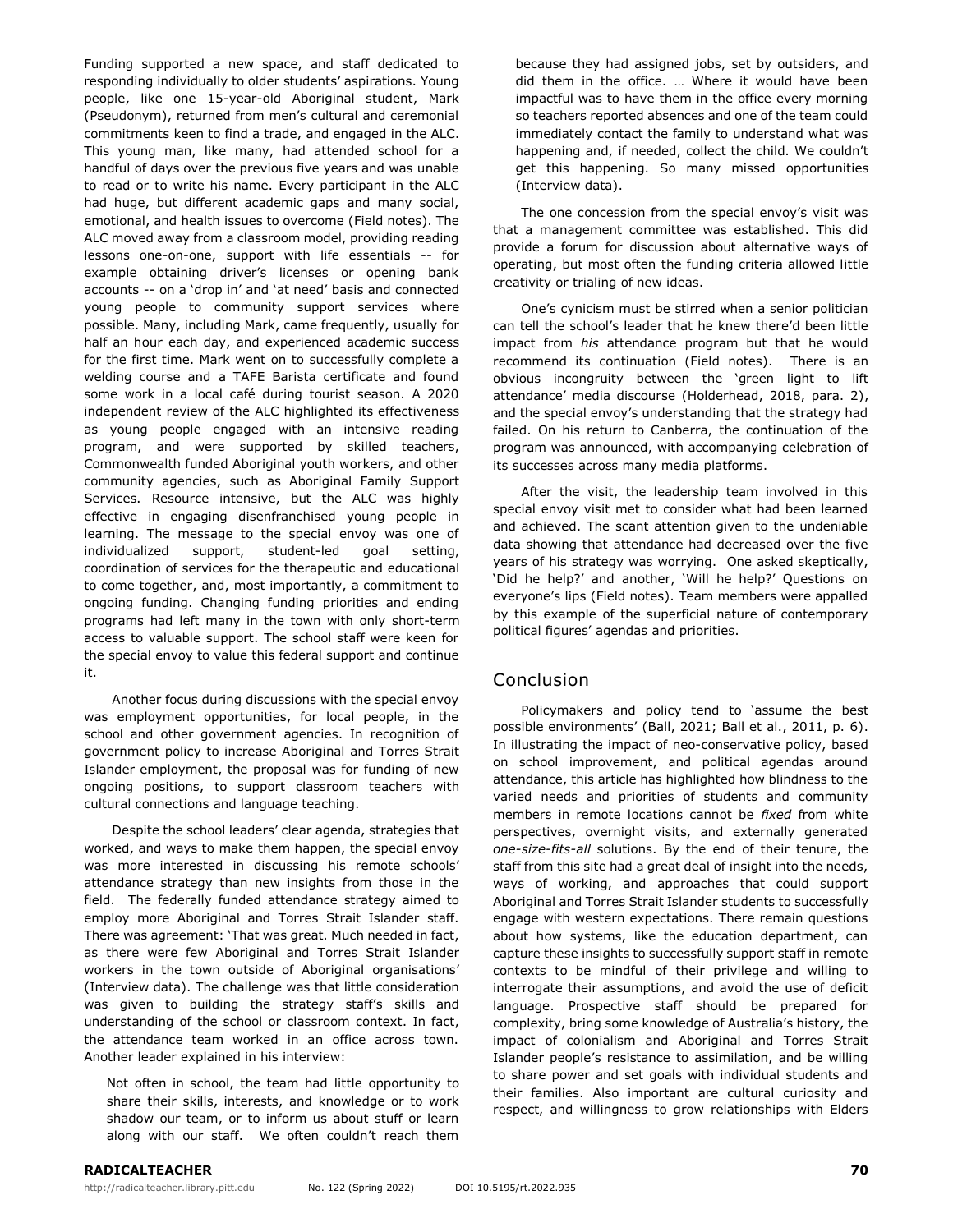Funding supported a new space, and staff dedicated to responding individually to older students' aspirations. Young people, like one 15-year-old Aboriginal student, Mark (Pseudonym), returned from men's cultural and ceremonial commitments keen to find a trade, and engaged in the ALC. This young man, like many, had attended school for a handful of days over the previous five years and was unable to read or to write his name. Every participant in the ALC had huge, but different academic gaps and many social, emotional, and health issues to overcome (Field notes). The ALC moved away from a classroom model, providing reading lessons one-on-one, support with life essentials -- for example obtaining driver's licenses or opening bank accounts -- on a 'drop in' and 'at need' basis and connected young people to community support services where possible. Many, including Mark, came frequently, usually for half an hour each day, and experienced academic success for the first time. Mark went on to successfully complete a welding course and a TAFE Barista certificate and found some work in a local café during tourist season. A 2020 independent review of the ALC highlighted its effectiveness as young people engaged with an intensive reading program, and were supported by skilled teachers, Commonwealth funded Aboriginal youth workers, and other community agencies, such as Aboriginal Family Support Services. Resource intensive, but the ALC was highly effective in engaging disenfranchised young people in learning. The message to the special envoy was one of individualized support, student-led goal setting, coordination of services for the therapeutic and educational to come together, and, most importantly, a commitment to ongoing funding. Changing funding priorities and ending programs had left many in the town with only short-term access to valuable support. The school staff were keen for the special envoy to value this federal support and continue it.

Another focus during discussions with the special envoy was employment opportunities, for local people, in the school and other government agencies. In recognition of government policy to increase Aboriginal and Torres Strait Islander employment, the proposal was for funding of new ongoing positions, to support classroom teachers with cultural connections and language teaching.

Despite the school leaders' clear agenda, strategies that worked, and ways to make them happen, the special envoy was more interested in discussing his remote schools' attendance strategy than new insights from those in the field. The federally funded attendance strategy aimed to employ more Aboriginal and Torres Strait Islander staff. There was agreement: 'That was great. Much needed in fact, as there were few Aboriginal and Torres Strait Islander workers in the town outside of Aboriginal organisations' (Interview data). The challenge was that little consideration was given to building the strategy staff's skills and understanding of the school or classroom context. In fact, the attendance team worked in an office across town. Another leader explained in his interview:

Not often in school, the team had little opportunity to share their skills, interests, and knowledge or to work shadow our team, or to inform us about stuff or learn along with our staff. We often couldn't reach them because they had assigned jobs, set by outsiders, and did them in the office. … Where it would have been impactful was to have them in the office every morning so teachers reported absences and one of the team could immediately contact the family to understand what was happening and, if needed, collect the child. We couldn't get this happening. So many missed opportunities (Interview data).

The one concession from the special envoy's visit was that a management committee was established. This did provide a forum for discussion about alternative ways of operating, but most often the funding criteria allowed little creativity or trialing of new ideas.

One's cynicism must be stirred when a senior politician can tell the school's leader that he knew there'd been little impact from *his* attendance program but that he would recommend its continuation (Field notes). There is an obvious incongruity between the 'green light to lift attendance' media discourse (Holderhead, 2018, para. 2), and the special envoy's understanding that the strategy had failed. On his return to Canberra, the continuation of the program was announced, with accompanying celebration of its successes across many media platforms.

After the visit, the leadership team involved in this special envoy visit met to consider what had been learned and achieved. The scant attention given to the undeniable data showing that attendance had decreased over the five years of his strategy was worrying. One asked skeptically, 'Did he help?' and another, 'Will he help?' Questions on everyone's lips (Field notes). Team members were appalled by this example of the superficial nature of contemporary political figures' agendas and priorities.

## Conclusion

Policymakers and policy tend to 'assume the best possible environments' (Ball, 2021; Ball et al., 2011, p. 6). In illustrating the impact of neo-conservative policy, based on school improvement, and political agendas around attendance, this article has highlighted how blindness to the varied needs and priorities of students and community members in remote locations cannot be *fixed* from white perspectives, overnight visits, and externally generated *one-size-fits-all* solutions. By the end of their tenure, the staff from this site had a great deal of insight into the needs, ways of working, and approaches that could support Aboriginal and Torres Strait Islander students to successfully engage with western expectations. There remain questions about how systems, like the education department, can capture these insights to successfully support staff in remote contexts to be mindful of their privilege and willing to interrogate their assumptions, and avoid the use of deficit language. Prospective staff should be prepared for complexity, bring some knowledge of Australia's history, the impact of colonialism and Aboriginal and Torres Strait Islander people's resistance to assimilation, and be willing to share power and set goals with individual students and their families. Also important are cultural curiosity and respect, and willingness to grow relationships with Elders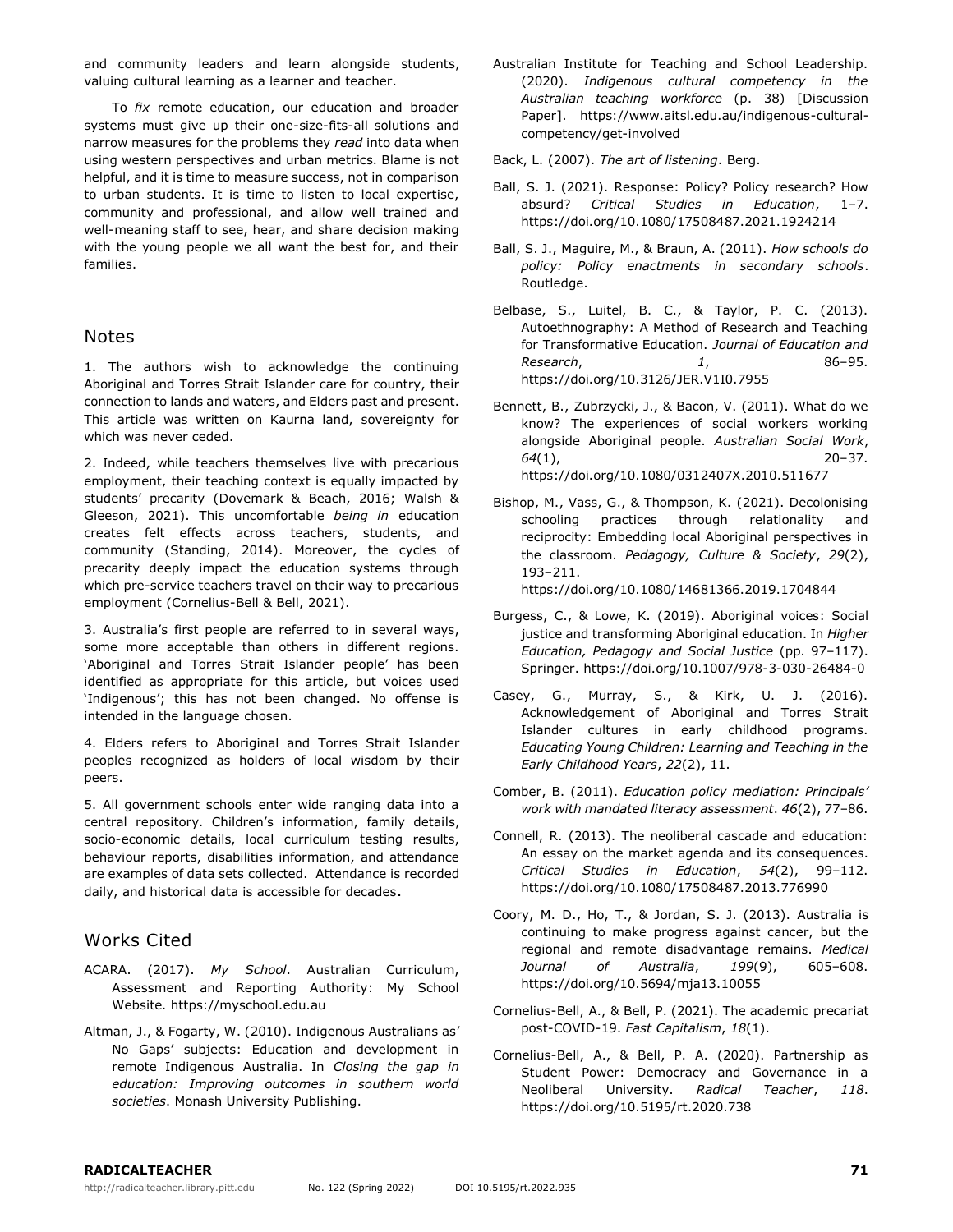and community leaders and learn alongside students, valuing cultural learning as a learner and teacher.

To *fix* remote education, our education and broader systems must give up their one-size-fits-all solutions and narrow measures for the problems they *read* into data when using western perspectives and urban metrics. Blame is not helpful, and it is time to measure success, not in comparison to urban students. It is time to listen to local expertise, community and professional, and allow well trained and well-meaning staff to see, hear, and share decision making with the young people we all want the best for, and their families.

#### Notes

1. The authors wish to acknowledge the continuing Aboriginal and Torres Strait Islander care for country, their connection to lands and waters, and Elders past and present. This article was written on Kaurna land, sovereignty for which was never ceded.

2. Indeed, while teachers themselves live with precarious employment, their teaching context is equally impacted by students' precarity (Dovemark & Beach, 2016; Walsh & Gleeson, 2021). This uncomfortable *being in* education creates felt effects across teachers, students, and community (Standing, 2014). Moreover, the cycles of precarity deeply impact the education systems through which pre-service teachers travel on their way to precarious employment (Cornelius-Bell & Bell, 2021).

3. Australia's first people are referred to in several ways, some more acceptable than others in different regions. 'Aboriginal and Torres Strait Islander people' has been identified as appropriate for this article, but voices used 'Indigenous'; this has not been changed. No offense is intended in the language chosen.

4. Elders refers to Aboriginal and Torres Strait Islander peoples recognized as holders of local wisdom by their peers.

5. All government schools enter wide ranging data into a central repository. Children's information, family details, socio-economic details, local curriculum testing results, behaviour reports, disabilities information, and attendance are examples of data sets collected. Attendance is recorded daily, and historical data is accessible for decades**.**

## Works Cited

- ACARA. (2017). *My School*. Australian Curriculum, Assessment and Reporting Authority: My School Website. https://myschool.edu.au
- Altman, J., & Fogarty, W. (2010). Indigenous Australians as' No Gaps' subjects: Education and development in remote Indigenous Australia. In *Closing the gap in education: Improving outcomes in southern world societies*. Monash University Publishing.

Australian Institute for Teaching and School Leadership. (2020). *Indigenous cultural competency in the Australian teaching workforce* (p. 38) [Discussion Paper]. https://www.aitsl.edu.au/indigenous-culturalcompetency/get-involved

Back, L. (2007). *The art of listening*. Berg.

- Ball, S. J. (2021). Response: Policy? Policy research? How absurd? *Critical Studies in Education*, 1–7. https://doi.org/10.1080/17508487.2021.1924214
- Ball, S. J., Maguire, M., & Braun, A. (2011). *How schools do policy: Policy enactments in secondary schools*. Routledge.
- Belbase, S., Luitel, B. C., & Taylor, P. C. (2013). Autoethnography: A Method of Research and Teaching for Transformative Education. *Journal of Education and Research*, *1*, 86–95. https://doi.org/10.3126/JER.V1I0.7955
- Bennett, B., Zubrzycki, J., & Bacon, V. (2011). What do we know? The experiences of social workers working alongside Aboriginal people. *Australian Social Work*, *64*(1), 20–37. https://doi.org/10.1080/0312407X.2010.511677
- Bishop, M., Vass, G., & Thompson, K. (2021). Decolonising schooling practices through relationality and reciprocity: Embedding local Aboriginal perspectives in the classroom. *Pedagogy, Culture & Society*, *29*(2), 193–211.

https://doi.org/10.1080/14681366.2019.1704844

- Burgess, C., & Lowe, K. (2019). Aboriginal voices: Social justice and transforming Aboriginal education. In *Higher Education, Pedagogy and Social Justice* (pp. 97–117). Springer. https://doi.org/10.1007/978-3-030-26484-0
- Casey, G., Murray, S., & Kirk, U. J. (2016). Acknowledgement of Aboriginal and Torres Strait Islander cultures in early childhood programs. *Educating Young Children: Learning and Teaching in the Early Childhood Years*, *22*(2), 11.
- Comber, B. (2011). *Education policy mediation: Principals' work with mandated literacy assessment*. *46*(2), 77–86.
- Connell, R. (2013). The neoliberal cascade and education: An essay on the market agenda and its consequences. *Critical Studies in Education*, *54*(2), 99–112. https://doi.org/10.1080/17508487.2013.776990
- Coory, M. D., Ho, T., & Jordan, S. J. (2013). Australia is continuing to make progress against cancer, but the regional and remote disadvantage remains. *Medical Journal of Australia*, *199*(9), 605–608. https://doi.org/10.5694/mja13.10055
- Cornelius-Bell, A., & Bell, P. (2021). The academic precariat post-COVID-19. *Fast Capitalism*, *18*(1).
- Cornelius-Bell, A., & Bell, P. A. (2020). Partnership as Student Power: Democracy and Governance in a Neoliberal University. *Radical Teacher*, *118*. https://doi.org/10.5195/rt.2020.738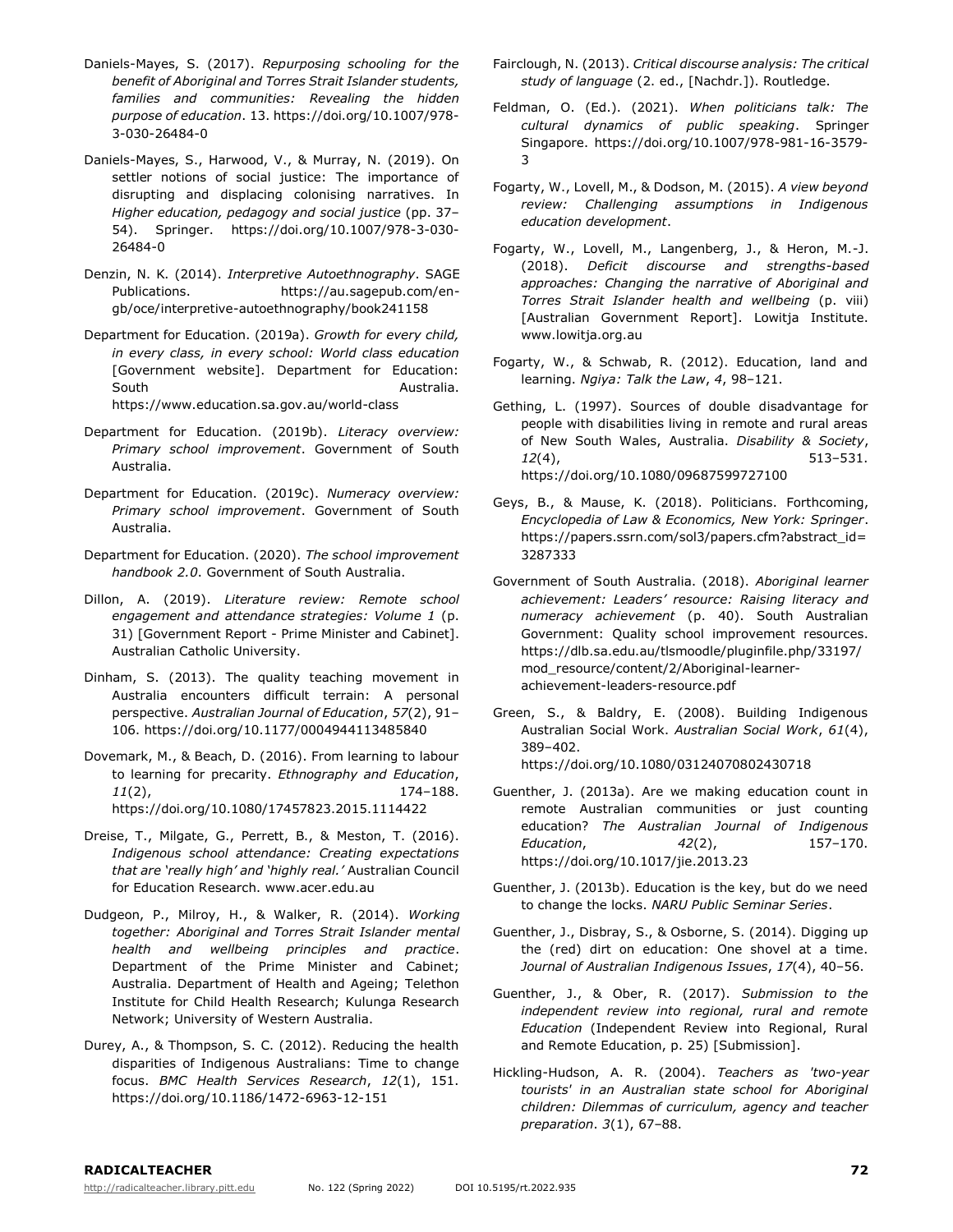- Daniels-Mayes, S. (2017). *Repurposing schooling for the benefit of Aboriginal and Torres Strait Islander students, families and communities: Revealing the hidden purpose of education*. 13. https://doi.org/10.1007/978- 3-030-26484-0
- Daniels-Mayes, S., Harwood, V., & Murray, N. (2019). On settler notions of social justice: The importance of disrupting and displacing colonising narratives. In *Higher education, pedagogy and social justice* (pp. 37– 54). Springer. https://doi.org/10.1007/978-3-030- 26484-0
- Denzin, N. K. (2014). *Interpretive Autoethnography*. SAGE Publications. https://au.sagepub.com/engb/oce/interpretive-autoethnography/book241158
- Department for Education. (2019a). *Growth for every child, in every class, in every school: World class education* [Government website]. Department for Education: South **Australia**. https://www.education.sa.gov.au/world-class
- Department for Education. (2019b). *Literacy overview: Primary school improvement*. Government of South Australia.
- Department for Education. (2019c). *Numeracy overview: Primary school improvement*. Government of South Australia.
- Department for Education. (2020). *The school improvement handbook 2.0*. Government of South Australia.
- Dillon, A. (2019). *Literature review: Remote school engagement and attendance strategies: Volume 1* (p. 31) [Government Report - Prime Minister and Cabinet]. Australian Catholic University.
- Dinham, S. (2013). The quality teaching movement in Australia encounters difficult terrain: A personal perspective. *Australian Journal of Education*, *57*(2), 91– 106. https://doi.org/10.1177/0004944113485840
- Dovemark, M., & Beach, D. (2016). From learning to labour to learning for precarity. *Ethnography and Education*, *11*(2), 174–188. https://doi.org/10.1080/17457823.2015.1114422
- Dreise, T., Milgate, G., Perrett, B., & Meston, T. (2016). *Indigenous school attendance: Creating expectations that are 'really high' and 'highly real.'* Australian Council for Education Research. www.acer.edu.au
- Dudgeon, P., Milroy, H., & Walker, R. (2014). *Working together: Aboriginal and Torres Strait Islander mental health and wellbeing principles and practice*. Department of the Prime Minister and Cabinet; Australia. Department of Health and Ageing; Telethon Institute for Child Health Research; Kulunga Research Network; University of Western Australia.
- Durey, A., & Thompson, S. C. (2012). Reducing the health disparities of Indigenous Australians: Time to change focus. *BMC Health Services Research*, *12*(1), 151. https://doi.org/10.1186/1472-6963-12-151
- Fairclough, N. (2013). *Critical discourse analysis: The critical study of language* (2. ed., [Nachdr.]). Routledge.
- Feldman, O. (Ed.). (2021). *When politicians talk: The cultural dynamics of public speaking*. Springer Singapore. https://doi.org/10.1007/978-981-16-3579- 3
- Fogarty, W., Lovell, M., & Dodson, M. (2015). *A view beyond review: Challenging assumptions in Indigenous education development*.
- Fogarty, W., Lovell, M., Langenberg, J., & Heron, M.-J. (2018). *Deficit discourse and strengths-based approaches: Changing the narrative of Aboriginal and Torres Strait Islander health and wellbeing* (p. viii) [Australian Government Report]. Lowitja Institute. www.lowitja.org.au
- Fogarty, W., & Schwab, R. (2012). Education, land and learning. *Ngiya: Talk the Law*, *4*, 98–121.
- Gething, L. (1997). Sources of double disadvantage for people with disabilities living in remote and rural areas of New South Wales, Australia. *Disability & Society*, *12*(4), 513–531. https://doi.org/10.1080/09687599727100
- Geys, B., & Mause, K. (2018). Politicians. Forthcoming, *Encyclopedia of Law & Economics, New York: Springer*. https://papers.ssrn.com/sol3/papers.cfm?abstract\_id= 3287333
- Government of South Australia. (2018). *Aboriginal learner achievement: Leaders' resource: Raising literacy and numeracy achievement* (p. 40). South Australian Government: Quality school improvement resources. https://dlb.sa.edu.au/tlsmoodle/pluginfile.php/33197/ mod\_resource/content/2/Aboriginal-learnerachievement-leaders-resource.pdf
- Green, S., & Baldry, E. (2008). Building Indigenous Australian Social Work. *Australian Social Work*, *61*(4), 389–402. https://doi.org/10.1080/03124070802430718
- Guenther, J. (2013a). Are we making education count in remote Australian communities or just counting education? *The Australian Journal of Indigenous Education*, *42*(2), 157–170. https://doi.org/10.1017/jie.2013.23
- Guenther, J. (2013b). Education is the key, but do we need to change the locks. *NARU Public Seminar Series*.
- Guenther, J., Disbray, S., & Osborne, S. (2014). Digging up the (red) dirt on education: One shovel at a time. *Journal of Australian Indigenous Issues*, *17*(4), 40–56.
- Guenther, J., & Ober, R. (2017). *Submission to the independent review into regional, rural and remote Education* (Independent Review into Regional, Rural and Remote Education, p. 25) [Submission].
- Hickling-Hudson, A. R. (2004). *Teachers as 'two-year tourists' in an Australian state school for Aboriginal children: Dilemmas of curriculum, agency and teacher preparation*. *3*(1), 67–88.